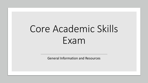# Core Academic Skills Exam

General Information and Resources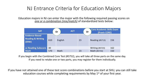### NJ Entrance Criteria for Education Majors

Education majors in NJ can enter the major with the following required passing scores on *one or a combination (mix/match)* of standardized tests below:



If you begin with the Combined Core Test (#5752), you will take all three parts on the same day. If you need to retake one or two parts, you may register for them individually.

If you have not attained one of these test score combinations before you start at SHU, you can still take education courses while completing requirements by May 1<sup>st</sup> of your first year.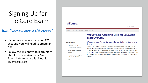## Signing Up for the Core Exam

### <https://www.ets.org/praxis/about/core/>

- If you do not have an existing ETS account, you will need to create an one.
- Follow the link above to learn more about the Core Academic Skills Exam, links to its availability, & study resources.



For Test Takers For In

ETS Home  $>$  Praxis  $>$  About the Tests  $>$  Praxis Core Overview

#### *Praxis* ® Core Academic Skills for Educators **Tests Overview**

#### **About the Tests**

**Test Content and Structure** 

Praxis Subject Assessments

Praxis Content Knowledge for

**Teaching Test Overview** 

#### Tests? > Praxis Core Overview

### What Are the *Praxis* Core Academic Skills for Educators

*Praxis* ® Core Academic Skills for Educators (Core) tests measure academic skills in reading, writing and mathematics deemed by teacher educators to be essential for all candidates preparing to be teachers, no matter what content area or grade-level they aspire to teach. These tests were designed to provide comprehensive assessments that measure the skills and content knowledge of candidates entering teacher preparation programs.

Fees  $\blacktriangledown$ 

Overview ▼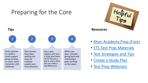## Preparing for the Core





- [Khan Academy Prep \(Free\)](https://www.ets.org/praxis/prepare/khan)
- [ETS Test Prep Materials](https://www.ets.org/praxis/prepare/materials)
- [Test Strategies and Tips](https://www.ets.org/praxis/prepare/tips)
- [Create a Study Plan](chttps://www.ets.org/praxis/prepare/study)
- [Test Prep Webinars](https://www.ets.org/praxis/prepare/webinars)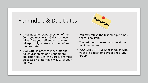### Reminders & Due Dates

- If you need to retake a section of the Core, you must wait 35 days between takes. Give yourself enough time to take/possibly retake a section before the due date.
- **Due Date**: In order to move into the full education major & sophomore education courses, the Core Exam must be passed no later than **May 1st** of your first year.
- You may retake the test multiple times; there is no limit.
- You just need to meet must meet the minimum score.
- YOU CAN DO THIS! Keep in touch with your pre-education advisor and study group.